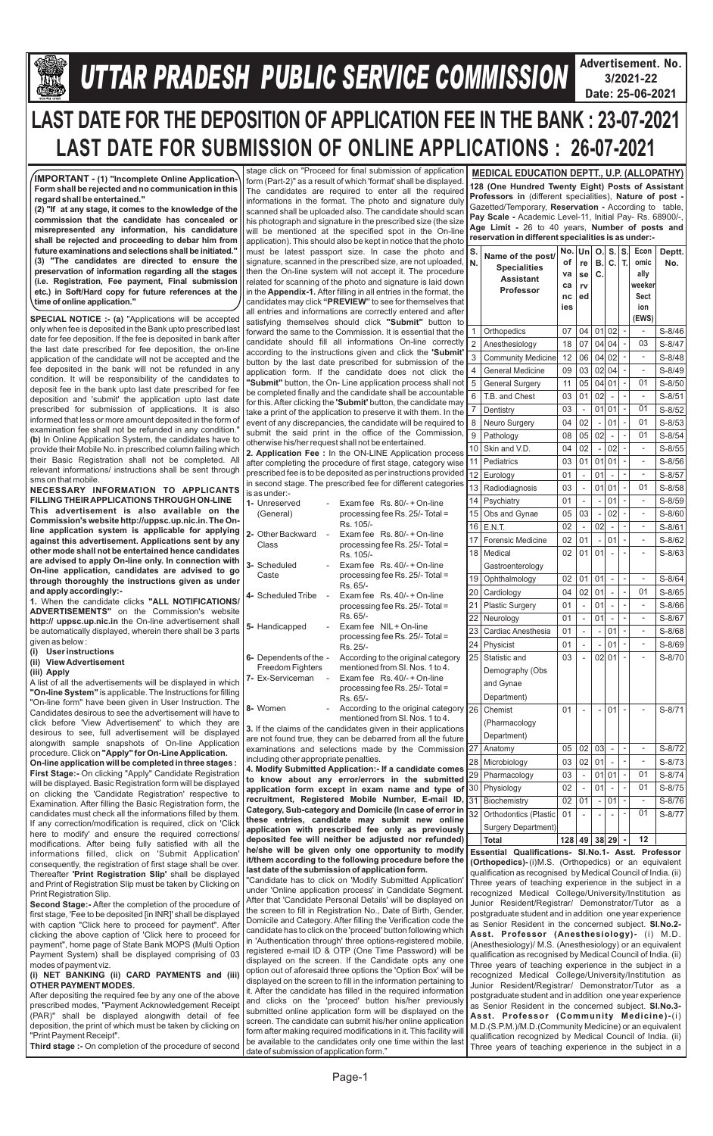

# **Gllej ØeosMe YetlelJe SJeb Keefvekeâce&** *U***efveosMeeueÙe DeOeervemLe ØeeefJeefOekeâ mesJee** *TTAR PRADESH PUBLIC SERVICE COMMISSION*

**Advertisement. No. 3/2021-22 Date: 25-06-2021**

Page-1

# **LAST DATE FOR THE DEPOSITION OF APPLICATION FEE IN THE BANK : 23-07-2021 LAST DATE FOR SUBMISSION OF ONLINE APPLICATIONS : 26-07-2021**

**SPECIAL NOTICE :- (a)** "Applications will be accepted only when fee is deposited in the Bank upto prescribed last date for fee deposition. If the fee is deposited in bank after the last date prescribed for fee deposition, the on-line application of the candidate will not be accepted and the fee deposited in the bank will not be refunded in any condition. It will be responsibility of the candidates to deposit fee in the bank upto last date prescribed for fee deposition and 'submit' the application upto last date prescribed for submission of applications. It is also informed that less or more amount deposited in the form of examination fee shall not be refunded in any condition." **(b)** In Online Application System, the candidates have to provide their Mobile No. in prescribed column failing which their Basic Registration shall not be completed. All relevant informations/ instructions shall be sent through sms on that mobile.

**NECESSARY INFORMATION TO APPLICANTS FILLING THEIR APPLICATIONS THROUGH ON-LINE This advertisement is also available on the Commission's website http://uppsc.up.nic.in. The Online application system is applicable for applying against this advertisement. Applications sent by any other mode shall not be entertained hence candidates are advised to apply On-line only. In connection with On-line application, candidates are advised to go through thoroughly the instructions given as under and apply accordingly:-**

**1.** When the candidate clicks **"ALL NOTIFICATIONS/ ADVERTISEMENTS"** on the Commission's website **http:// uppsc.up.nic.in** the On-line advertisement shall be automatically displayed, wherein there shall be 3 parts given as below :

- **(i) User instructions**
- **(ii) View Advertisement**
- **(iii) Apply**

A list of all the advertisements will be displayed in which **"On-line System"** is applicable. The Instructions for filling "On-line form" have been given in User Instruction. The Candidates desirous to see the advertisement will have to click before 'View Advertisement' to which they are desirous to see, full advertisement will be displayed alongwith sample snapshots of On-line Application procedure. Click on **"Apply" for On-Line Application.**

**On-line application will be completed in three stages : First Stage:-** On clicking "Apply" Candidate Registration will be displayed. Basic Registration form will be displayed on clicking the 'Candidate Registration' respective to Examination. After filling the Basic Registration form, the candidates must check all the informations filled by them. If any correction/modification is required, click on 'Click here to modify' and ensure the required corrections/

prescribed fee is to be deposited as per instructions provided in second stage. The prescribed fee for different categories is as under:-  $E$   $\theta$ <sup>00</sup>/ $\pm$  On line

stage click on "Proceed for final submission of application form (Part-2)" as a result of which 'format' shall be displayed. The candidates are required to enter all the required informations in the format. The photo and signature duly scanned shall be uploaded also. The candidate should scan his photograph and signature in the prescribed size (the size will be mentioned at the specified spot in the On-line application). This should also be kept in notice that the photo must be latest passport size. In case the photo and signature, scanned in the prescribed size, are not uploaded, then the On-line system will not accept it. The procedure related for scanning of the photo and signature is laid down in the **Appendix-1.** After filling in all entries in the format, the candidates may click **"PREVIEW"** to see for themselves that all entries and informations are correctly entered and after satisfying themselves should click **"Submit"** button to forward the same to the Commission. It is essential that the candidate should fill all informations On-line correctly according to the instructions given and click the **'Submit'**  button by the last date prescribed for submission of the application form. If the candidate does not click the **"Submit"** button, the On- Line application process shall not be completed finally and the candidate shall be accountable for this. After clicking the **'Submit'** button, the candidate may take a print of the application to preserve it with them. In the event of any discrepancies, the candidate will be required to submit the said print in the office of the Commission, otherwise his/her request shall not be entertained. **2. Application Fee :** In the ON-LINE Application process after completing the procedure of first stage, category wise

| <b>1-</b> UITESEREU<br>(General)       |                | $LX$ dilliee $NS. 00$ - $T$ OII-liie<br>processing fee Rs. 25/- Total =                       |
|----------------------------------------|----------------|-----------------------------------------------------------------------------------------------|
| 2- Other Backward<br>Class             | $\overline{a}$ | Rs. 105/-<br>Exam fee $\,$ Rs. 80/- + On-line<br>processing fee Rs. 25/- Total =<br>Rs. 105/- |
| 3- Scheduled<br>Caste                  | $\overline{a}$ | Exam fee $\,$ Rs. 40/- + On-line<br>processing fee Rs. $25/-$ Total =<br>Rs. 65/-             |
| 4- Scheduled Tribe                     |                | Exam fee $\,$ Rs. 40/- + On-line<br>processing fee Rs. 25/- Total =<br>Rs. 65/-               |
| 5- Handicapped                         |                | Exam fee NIL + On-line<br>processing fee Rs. 25/- Total =<br>Rs. 25/-                         |
| 6- Dependents of the -                 |                | According to the original category                                                            |
| Freedom Fighters                       |                | mentioned from SI, Nos. 1 to 4.                                                               |
| 7- Ex-Serviceman                       | $\frac{1}{2}$  | Exam fee $\,$ Rs. 40/- + On-line<br>processing fee Rs. 25/- Total =<br>Rs. 65/-               |
| 8- Women                               |                | According to the original category<br>mentioned from SI. Nos. 1 to 4.                         |
|                                        |                | 3. If the claims of the candidates given in their applications                                |
|                                        |                | are not found true, they can be debarred from all the future                                  |
|                                        |                | examinations and selections made by the Commission                                            |
| including other appropriate penalties. |                |                                                                                               |
|                                        |                | 4. Modify Submitted Application: - If a candidate comes                                       |
|                                        |                | to know about any error/errors in the submitted                                               |
|                                        |                | application form except in exam name and type of                                              |
|                                        |                | recruitment, Registered Mobile Number, E-mail ID,                                             |

**Category, Sub-category and Domicile (In case of error in these entries, candidate may submit new online application with prescribed fee only as previously** 

| modifications. After being fully satisfied with all the        | deposited fee will neither be adjusted nor refunded)               | Total | $128   49   38   29   -   12$                                 |
|----------------------------------------------------------------|--------------------------------------------------------------------|-------|---------------------------------------------------------------|
| informations filled, click on 'Submit Application              | he/she will be given only one opportunity to modify                |       | Essential Qualifications- SI.No.1- Asst. Professor            |
| consequently, the registration of first stage shall be over.   | it/them according to the following procedure before the            |       | <b>(Orthopedics)-</b> (i)M.S. (Orthopedics) or an equivalent  |
| Thereafter 'Print Registration Slip' shall be displayed        | last date of the submission of application form.                   |       | qualification as recognised by Medical Council of India. (ii) |
| and Print of Registration Slip must be taken by Clicking on    | 'Candidate has to click on 'Modify Submitted Application'          |       | Three years of teaching experience in the subject in a        |
| Print Registration Slip.                                       | under 'Online application process' in Candidate Segment.           |       | recognized Medical College/University/Institution as          |
| <b>Second Stage:-</b> After the completion of the procedure of | After that 'Candidate Personal Details' will be displayed on       |       | Junior Resident/Registrar/ Demonstrator/Tutor as a            |
| first stage, 'Fee to be deposited [in INR]' shall be displayed | the screen to fill in Registration No., Date of Birth, Gender,     |       | postgraduate student and in addition one year experience      |
| with caption "Click here to proceed for payment". After        | Domicile and Category. After filling the Verification code the     |       | as Senior Resident in the concerned subject. <b>SI.No.2-</b>  |
| clicking the above caption of 'Click here to proceed for       | candidate has to click on the 'proceed' button following which     |       | Asst. Professor (Anesthesiology) - (i) M.D.                   |
| payment", home page of State Bank MOPS (Multi Option           | in 'Authentication through' three options-registered mobile,       |       | (Anesthesiology)/ M.S. (Anesthesiology) or an equivalent      |
| Payment System) shall be displayed comprising of 03            | registered e-mail ID & OTP (One Time Password) will be             |       | qualification as recognised by Medical Council of India. (ii) |
| modes of payment viz.                                          | displayed on the screen. If the Candidate opts any one             |       | Three years of teaching experience in the subject in a        |
| (i) NET BANKING (ii) CARD PAYMENTS and (iii)                   | option out of aforesaid three options the 'Option Box' will be     |       | recognized Medical College/University/Institution as          |
| <b>OTHER PAYMENT MODES.</b>                                    | displayed on the screen to fill in the information pertaining to   |       | Junior Resident/Registrar/ Demonstrator/Tutor as a            |
| After depositing the required fee by any one of the above      | it. After the candidate has filled in the required information     |       | postgraduate student and in addition one year experience      |
| prescribed modes, "Payment Acknowledgement Receipt             | and clicks on the 'proceed' button his/her previously              |       | as Senior Resident in the concerned subject. <b>SI.No.3-</b>  |
| (PAR)" shall be displayed alongwith detail of fee              | submitted online application form will be displayed on the         |       | Asst. Professor (Community Medicine)-(i)                      |
| deposition, the print of which must be taken by clicking on    | screen. The candidate can submit his/her online application        |       | M.D. (S.P.M.)/M.D. (Community Medicine) or an equivalent      |
| "Print Payment Receipt".                                       | form after making required modifications in it. This facility will |       | qualification recognized by Medical Council of India. (ii)    |
| Third stage :- On completion of the procedure of second        | be available to the candidates only one time within the last       |       | Three years of teaching experience in the subject in a        |
|                                                                | date of submission of application form."                           |       |                                                               |

**IMPORTANT - (1) "Incomplete Online Application-Form shall be rejected and no communication in this regard shall be entertained."**

**(2) "If at any stage, it comes to the knowledge of the commission that the candidate has concealed or misrepresented any information, his candidature shall be rejected and proceeding to debar him from future examinations and selections shall be initiated." (3) "The candidates are directed to ensure the preservation of information regarding all the stages (i.e. Registration, Fee payment, Final submission etc.) in Soft/Hard copy for future references at the time of online application."** 

**MEDICAL EDUCATION DEPTT., U.P. (ALLOPATHY) 128 (One Hundred Twenty Eight) Posts of Assistant Professors in** (different specialities), **Nature of post -**  Gazetted/Temporary, **Reservation -** According to table, **Pay Scale -** Academic Level-11, Initial Pay- Rs. 68900/-, **Age Limit -** 26 to 40 years, **Number of posts and reservation in different specialities is as under:-**

| S.<br>N.        | Name of the post/<br><b>Specialities</b><br><b>Assistant</b><br><b>Professor</b> | No.<br>оf<br>va<br>ca<br>nc<br>ies | Un<br>re<br>se<br>rv<br>ed | О.<br>Β.<br>C. | S.<br>C.       | S.<br>T.       | Econ<br>omic<br>ally<br>weeker<br><b>Sect</b><br>ion<br>(EWS) | Deptt.<br>No. |
|-----------------|----------------------------------------------------------------------------------|------------------------------------|----------------------------|----------------|----------------|----------------|---------------------------------------------------------------|---------------|
| 1               | Orthopedics                                                                      | 07                                 | 04                         | 01             | 02             |                |                                                               | S-8/46        |
| $\overline{2}$  | Anesthesiology                                                                   | 18                                 | 07                         | 04             | 04             | -              | 03                                                            | S-8/47        |
| 3               | <b>Community Medicine</b>                                                        | 12                                 | 06                         | 04             | 02             | $\overline{a}$ | $\overline{a}$                                                | $S-8/48$      |
| 4               | <b>General Medicine</b>                                                          | 09                                 | 03                         | 02             | 04             |                |                                                               | S-8/49        |
| 5               | <b>General Surgery</b>                                                           | 11                                 | 05                         | 04             | 01             | $\overline{a}$ | 01                                                            | $S-8/50$      |
| 6               | T.B. and Chest                                                                   | 03                                 | 01                         | 02             |                | -              | $\overline{a}$                                                | $S-8/51$      |
| 7               | Dentistry                                                                        | 03                                 | L,                         | 01             | 01             |                | 01                                                            | $S-8/52$      |
| 8               | Neuro Surgery                                                                    | 04                                 | 02                         | $\overline{a}$ | 01             | $\overline{a}$ | 01                                                            | $S-8/53$      |
| 9               | Pathology                                                                        | 08                                 | 05                         | 02             |                | $\overline{a}$ | 01                                                            | $S-8/54$      |
| 10              | Skin and V.D.                                                                    | 04                                 | 02                         | $\overline{a}$ | 02             |                |                                                               | $S-8/55$      |
| 11              | Pediatrics                                                                       | 03                                 | 01                         | 01             | 01             | $\overline{a}$ | -                                                             | $S-8/56$      |
| 12              | Eurology                                                                         | 01                                 | $\overline{a}$             | 01             |                | -              | $\overline{a}$                                                | $S-8/57$      |
| 13              | Radiodiagnosis                                                                   | 03                                 | $\overline{a}$             | 01             | 01             |                | 01                                                            | S-8/58        |
| 14              | Psychiatry                                                                       | 01                                 |                            | $\overline{a}$ | 01             | $\overline{a}$ |                                                               | $S-8/59$      |
| 15              | Obs and Gynae                                                                    | 05                                 | 03                         | $\overline{a}$ | 02             | -              | $\overline{a}$                                                | S-8/60        |
| 16              | E.N.T.                                                                           | 02                                 |                            | 02             |                |                |                                                               | $S-8/61$      |
| 17              | Forensic Medicine                                                                | 02                                 | 01                         |                | 01             | $\overline{a}$ | -                                                             | S-8/62        |
| 18              | Medical                                                                          | 02                                 | 01                         | 01             |                |                |                                                               | $S-8/63$      |
|                 | Gastroenterology                                                                 |                                    |                            |                |                |                |                                                               |               |
| 19              | Ophthalmology                                                                    | 02                                 | 01                         | 01             | $\overline{a}$ | $\overline{a}$ |                                                               | S-8/64        |
| 20              | Cardiology                                                                       | 04                                 | 02                         | 01             | $\overline{a}$ | $\overline{a}$ | 01                                                            | $S-8/65$      |
| 21              | <b>Plastic Surgery</b>                                                           | 01                                 | $\overline{a}$             | 01             | $\overline{a}$ |                |                                                               | S-8/66        |
| 22              | Neurology                                                                        | 01                                 | $\overline{a}$             | 01             |                |                | -                                                             | S-8/67        |
| 23              | Cardiac Anesthesia                                                               | 01                                 |                            |                | 01             | $\overline{a}$ | $\overline{a}$                                                | S-8/68        |
| 24              | Physicist                                                                        | 01                                 | $\overline{a}$             | -              | 01             |                |                                                               | S-8/69        |
| 25              | Statistic and                                                                    | 03                                 |                            | 02             | 01             | -              | $\overline{a}$                                                | S-8/70        |
|                 | Demography (Obs                                                                  |                                    |                            |                |                |                |                                                               |               |
|                 | and Gynae                                                                        |                                    |                            |                |                |                |                                                               |               |
|                 | Department)                                                                      |                                    |                            |                |                |                |                                                               |               |
| 26              | Chemist                                                                          | 01                                 |                            |                | 01             |                |                                                               | S-8/71        |
|                 | (Pharmacology                                                                    |                                    |                            |                |                |                |                                                               |               |
|                 | Department)                                                                      |                                    |                            |                |                |                |                                                               |               |
| 27              | Anatomy                                                                          | 05                                 | 02                         | 03             |                | $\overline{a}$ | ÷,                                                            | S-8/72        |
| 28              | Microbiology                                                                     | 03                                 | 02                         | 01             |                |                |                                                               | S-8/73        |
| 29              | Pharmacology                                                                     | 03                                 | L,                         | 01             | 01             |                | 01                                                            | S-8/74        |
| 30              | Physiology                                                                       | 02                                 |                            | 01             |                |                | 01                                                            | S-8/75        |
| $\overline{3}1$ | Biochemistry                                                                     | 02                                 | 01                         |                | 01             |                |                                                               | S-8/76        |
| 32              | Orthodontics (Plastic                                                            | 01                                 | -                          |                |                |                | 01                                                            | S-8/77        |
|                 | Surgery Department)                                                              |                                    |                            |                |                |                |                                                               |               |
|                 | <b>Total</b>                                                                     | 128                                | 49                         |                | 38 29          |                | 12                                                            |               |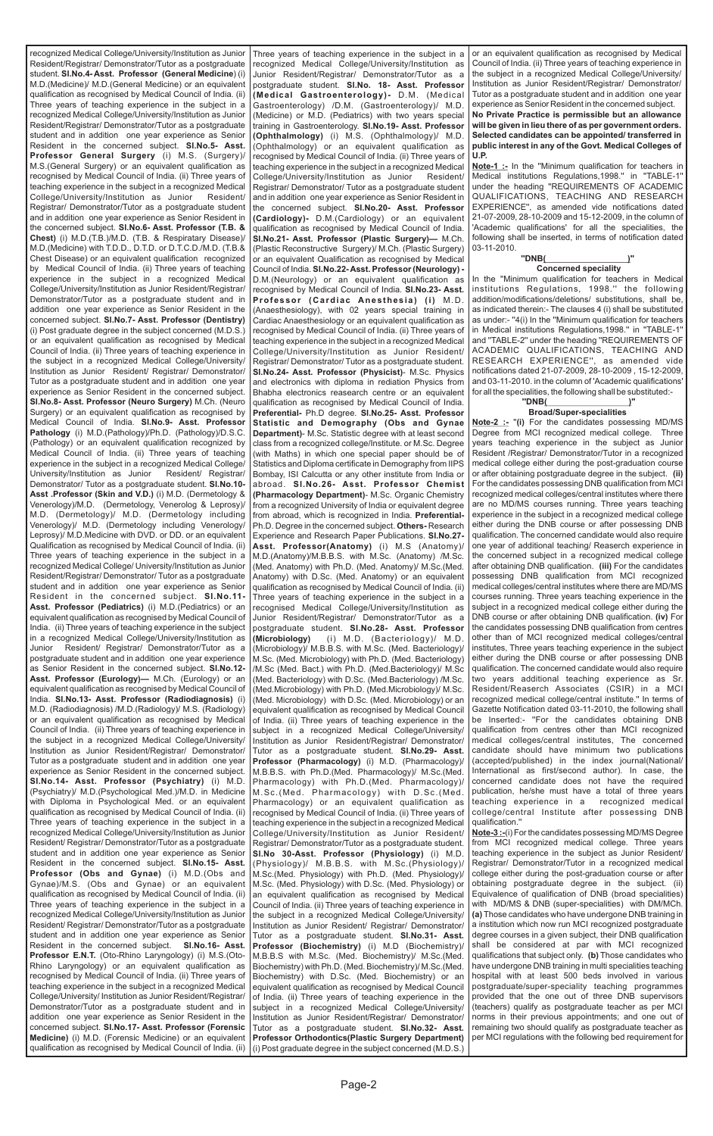recognized Medical College/University/Institution as Junior Resident/Registrar/ Demonstrator/Tutor as a postgraduate student. **Sl.No.4- Asst. Professor (General Medicine**) (i) M.D.(Medicine)/ M.D.(General Medicine) or an equivalent qualification as recognised by Medical Council of India. (ii) Three years of teaching experience in the subject in a recognized Medical College/University/Institution as Junior Resident/Registrar/ Demonstrator/Tutor as a postgraduate student and in addition one year experience as Senior Resident in the concerned subject. **Sl.No.5- Asst. Professor General Surgery** (i) M.S. (Surgery)/ M.S.(General Surgery) or an equivalent qualification as recognised by Medical Council of India. (ii) Three years of teaching experience in the subject in a recognized Medical College/University/Institution as Junior Resident/ Registrar/ Demonstrator/Tutor as a postgraduate student and in addition one year experience as Senior Resident in the concerned subject. **Sl.No.6- Asst. Professor (T.B. & Chest)** (i) M.D.(T.B.)/M.D. (T.B. & Respiratary Disease)/ M.D.(Medicine) with T.D.D., D.T.D. or D.T.C.D./M.D. (T.B.& Chest Disease) or an equivalent qualification recognized by Medical Council of India. (ii) Three years of teaching experience in the subject in a recognized Medical College/University/Institution as Junior Resident/Registrar/ Demonstrator/Tutor as a postgraduate student and in addition one year experience as Senior Resident in the concerned subject. **Sl.No.7- Asst. Professor (Dentistry)**  (i) Post graduate degree in the subject concerned (M.D.S.) or an equivalent qualification as recognised by Medical Council of India. (ii) Three years of teaching experience in the subject in a recognized Medical College/University/ Institution as Junior Resident/ Registrar/ Demonstrator/ Tutor as a postgraduate student and in addition one year experience as Senior Resident in the concerned subject. **Sl.No.8- Asst. Professor (Neuro Surgery)** M.Ch. (Neuro Surgery) or an equivalent qualification as recognised by Medical Council of India. **Sl.No.9- Asst. Professor Pathology** (i) M.D.(Pathology)/Ph.D. (Pathology)/D.S.C. (Pathology) or an equivalent qualification recognized by Medical Council of India. (ii) Three years of teaching experience in the subject in a recognized Medical College/ University/Institution as Junior Resident/ Registrar/ Demonstrator/ Tutor as a postgraduate student. **Sl.No.10- Asst .Professor (Skin and V.D.)** (i) M.D. (Dermetology & Venerology)/M.D. (Dermetology, Venerolog & Leprosy)/ M.D. (Dermetology)/ M.D. (Dermetology including Venerology)/ M.D. (Dermetology including Venerology/ Leprosy)/ M.D.Medicine with DVD. or DD. or an equivalent Qualification as recognised by Medical Council of India. (ii) Three years of teaching experience in the subject in a recognized Medical College/ University/Institution as Junior Resident/Registrar/ Demonstrator/ Tutor as a postgraduate student and in addition one year experience as Senior Resident in the concerned subject. **Sl.No.11- Asst. Professor (Pediatrics)** (i) M.D.(Pediatrics) or an equivalent qualification as recognised by Medical Council of India. (ii) Three years of teaching experience in the subject in a recognized Medical College/University/Institution as Junior Resident/ Registrar/ Demonstrator/Tutor as a postgraduate student and in addition one year experience as Senior Resident in the concerned subject. **Sl.No.12- Asst. Professor (Eurology)—** M.Ch. (Eurology) or an equivalent qualification as recognised by Medical Council of India. **Sl.No.13- Asst. Professor (Radiodiagnosis)** (i) M.D. (Radiodiagnosis) /M.D.(Radiology)/ M.S. (Radiology) or an equivalent qualification as recognised by Medical Council of India. (ii) Three years of teaching experience in the subject in a recognized Medical College/University/ Institution as Junior Resident/Registrar/ Demonstrator/ Tutor as a postgraduate student and in addition one year experience as Senior Resident in the concerned subject. **Sl.No.14- Asst. Professor (Psychiatry)** (i) M.D. (Psychiatry)/ M.D.(Psychological Med.)/M.D. in Medicine with Diploma in Psychological Med. or an equivalent qualification as recognised by Medical Council of India. (ii) Three years of teaching experience in the subject in a recognized Medical College/University/Institution as Junior Resident/ Registrar/ Demonstrator/Tutor as a postgraduate student and in addition one year experience as Senior Resident in the concerned subject. **Sl.No.15- Asst. Professor (Obs and Gynae)** (i) M.D.(Obs and Gynae)/M.S. (Obs and Gynae) or an equivalent qualification as recognised by Medical Council of India. (ii) Three years of teaching experience in the subject in a recognized Medical College/University/Institution as Junior Resident/ Registrar/ Demonstrator/Tutor as a postgraduate student and in addition one year experience as Senior Resident in the concerned subject. **Sl.No.16- Asst. Professor E.N.T.** (Oto-Rhino Laryngology) (i) M.S.(Oto-Rhino Laryngology) or an equivalent qualification as recognised by Medical Council of India. (ii) Three years of teaching experience in the subject in a recognized Medical College/University/ Institution as Junior Resident/Registrar/ Demonstrator/Tutor as a postgraduate student and in addition one year experience as Senior Resident in the concerned subject. **Sl.No.17- Asst. Professor (Forensic Medicine)** (i) M.D. (Forensic Medicine) or an equivalent qualification as recognised by Medical Council of India. (ii)

**Note-1 :-** In the "Minimum qualification for teachers in Medical institutions Regulations,1998.'' in ''TABLE-1'' under the heading ''REQUIREMENTS OF ACADEMIC QUALIFICATIONS, TEACHING AND RESEARCH EXPERIENCE'', as amended vide notifications dated 21-07-2009, 28-10-2009 and 15-12-2009, in the column of 'Academic qualifications' for all the specialities, the following shall be inserted, in terms of notification dated 03-11-2010.

Three years of teaching experience in the subject in a recognized Medical College/University/Institution as Junior Resident/Registrar/ Demonstrator/Tutor as a postgraduate student. **Sl.No. 18- Asst. Professor (Medical Gastroenterology)-** D.M. (Medical Gastroenterology) /D.M. (Gastroenterology)/ M.D. (Medicine) or M.D. (Pediatrics) with two years special training in Gastroenterology. **Sl.No.19- Asst. Professor (Ophthalmology)** (i) M.S. (Ophthalmology)/ M.D. (Ophthalmology) or an equivalent qualification as recognised by Medical Council of India. (ii) Three years of teaching experience in the subject in a recognized Medical College/University/Institution as Junior Resident/ Registrar/ Demonstrator/ Tutor as a postgraduate student and in addition one year experience as Senior Resident in the concerned subject. **Sl.No.20- Asst. Professor (Cardiology)-** D.M.(Cardiology) or an equivalent qualification as recognised by Medical Council of India. **Sl.No.21- Asst. Professor (Plastic Surgery)—** M.Ch. (Plastic Reconstructive Surgery)/ M.Ch. (Plastic Surgery) or an equivalent Qualification as recognised by Medical Council of India. **Sl.No.22- Asst. Professor (Neurology) -** D.M.(Neurology) or an equivalent qualification as recognised by Medical Council of India. **Sl.No.23- Asst. Professor (Cardiac Anesthesia) (i)** M.D. (Anaesthesiology), with 02 years special training in Cardiac Anaesthesiology or an equivalent qualification as recognised by Medical Council of India. (ii) Three years of teaching experience in the subject in a recognized Medical College/University/Institution as Junior Resident/ Registrar/ Demonstrator/ Tutor as a postgraduate student. **Sl.No.24- Asst. Professor (Physicist)**- M.Sc. Physics and electronics with diploma in rediation Physics from Bhabha electronics reasearch centre or an equivalent qualification as recognised by Medical Council of India. **Preferential-** Ph.D degree. **Sl.No.25- Asst. Professor Statistic and Demography (Obs and Gynae Department)**- M.Sc. Statistic degree with at least second class from a recognized college/Institute. or M.Sc. Degree (with Maths) in which one special paper should be of Statistics and Diploma certificate in Demography from IIPS Bombay, ISI Calcutta or any other institute from India or abroad. **Sl.No.26- Asst. Professor Chemist (Pharmacology Department)**- M.Sc. Organic Chemistry from a recognized University of India or equivalent degree from abroad, which is recognized in India. **Preferential-**Ph.D. Degree in the concerned subject. **Others-** Research Experience and Research Paper Publications. **Sl.No.27- Asst. Professor(Anatomy)** (i) M.S (Anatomy)/ M.D.(Anatomy)/M.B.B.S. with M.Sc. (Anatomy) /M.Sc. (Med. Anatomy) with Ph.D. (Med. Anatomy)/ M.Sc.(Med. Anatomy) with D.Sc. (Med. Anatomy) or an equivalent qualification as recognised by Medical Council of India. (ii) Three years of teaching experience in the subject in a recognised Medical College/University/Institution as Junior Resident/Registrar/ Demonstrator/Tutor as a postgraduate student. **Sl.No.28- Asst. Professor (Microbiology)** (i) M.D. (Bacteriology)/ M.D. (Microbiology)/ M.B.B.S. with M.Sc. (Med. Bacteriology)/ M.Sc. (Med. Microbiology) with Ph.D. (Med. Bacteriology) /M.Sc (Med. Bact.) with Ph.D. (Med.Bacteriology)/ M.Sc (Med. Bacteriology) with D.Sc. (Med.Bacteriology) /M.Sc. (Med.Microbiology) with Ph.D. (Med.Microbiology)/ M.Sc. (Med. Microbiology) with D.Sc. (Med. Microbiology) or an equivalent qualification as recognised by Medical Council of India. (ii) Three years of teaching experience in the subject in a recognized Medical College/University/ Institution as Junior Resident/Registrar/ Demonstrator/ Tutor as a postgraduate student. **Sl.No.29- Asst. Professor (Pharmacology)** (i) M.D. (Pharmacology)/ M.B.B.S. with Ph.D.(Med. Pharmacology)/ M.Sc.(Med. Pharmacology) with Ph.D.(Med. Pharmacology)/ M.Sc.(Med. Pharmacology) with D.Sc.(Med. Pharmacology) or an equivalent qualification as recognised by Medical Council of India. (ii) Three years of teaching experience in the subject in a recognized Medical College/University/Institution as Junior Resident/ Registrar/ Demonstrator/Tutor as a postgraduate student. **Sl.No 30-Asst. Professor (Physiology)** (i) M.D. (Physiology)/ M.B.B.S. with M.Sc.(Physiology)/ M.Sc.(Med. Physiology) with Ph.D. (Med. Physiology)/ M.Sc. (Med. Physiology) with D.Sc. (Med. Physiology) or an equivalent qualification as recognised by Medical Council of India. (ii) Three years of teaching experience in the subject in a recognized Medical College/University/ Institution as Junior Resident/ Registrar/ Demonstrator/ Tutor as a postgraduate student. **Sl.No.31- Asst. Professor (Biochemistry)** (i) M.D (Biochemistry)/ M.B.B.S with M.Sc. (Med. Biochemistry)/ M.Sc.(Med. Biochemistry) with Ph.D. (Med. Biochemistry)/ M.Sc.(Med. Biochemistry) with D.Sc. (Med. Biochemistry) or an equivalent qualification as recognised by Medical Council of India. (ii) Three years of teaching experience in the subject in a recognized Medical College/University/ Institution as Junior Resident/Registrar/ Demonstrator/ Tutor as a postgraduate student. **Sl.No.32- Asst. Professor Orthodontics(Plastic Surgery Department)**  (i) Post graduate degree in the subject concerned (M.D.S.)

or an equivalent qualification as recognised by Medical Council of India. (ii) Three years of teaching experience in the subject in a recognized Medical College/University/ Institution as Junior Resident/Registrar/ Demonstrator/ Tutor as a postgraduate student and in addition one year experience as Senior Resident in the concerned subject. **No Private Practice is permissible but an allowance** 

**will be given in lieu there of as per government orders. Selected candidates can be appointed/ transferred in public interest in any of the Govt. Medical Colleges of U.P.**

#### **''DNB( )'' Concerned speciality**

In the ''Minimum qualification for teachers in Medical institutions Regulations, 1998.'' the following addition/modifications/deletions/ substitutions, shall be, as indicated therein:- The clauses 4 (i) shall be substituted as under:- ''4(i) In the ''Minimum qualification for teachers in Medical institutions Regulations,1998.'' in ''TABLE-1'' and ''TABLE-2'' under the heading ''REQUIREMENTS OF ACADEMIC QUALIFICATIONS, TEACHING AND RESEARCH EXPERIENCE'', as amended vide notifications dated 21-07-2009, 28-10-2009 , 15-12-2009, and 03-11-2010. in the column of 'Academic qualifications' for all the specialities, the following shall be substituted:-

#### **''DNB( )'' Broad/Super-specialities**

**Note-2 :-** ''**(i)** For the candidates possessing MD/MS Degree from MCI recognized medical college. Three years teaching experience in the subject as Junior Resident /Registrar/ Demonstrator/Tutor in a recognized medical college either during the post-graduation course or after obtaining postgraduate degree in the subject. **(ii)** For the candidates possessing DNB qualification from MCI recognized medical colleges/central institutes where there are no MD/MS courses running. Three years teaching experience in the subject in a recognized medical college either during the DNB course or after possessing DNB qualification. The concerned candidate would also require one year of additional teaching/ Reaserch experience in the concerned subject in a recognized medical college after obtaining DNB qualification. **(iii)** For the candidates possessing DNB qualification from MCI recognized medical colleges/central institutes where there are MD/MS courses running. Three years teaching experience in the subject in a recognized medical college either during the DNB course or after obtaining DNB qualification. **(iv)** For the candidates possessing DNB qualification from centres other than of MCI recognized medical colleges/central institutes, Three years teaching experience in the subject either during the DNB course or after possessing DNB qualification. The concerned candidate would also require two years additional teaching experience as Sr. Resident/Reaserch Associates (CSIR) in a MCI recognized medical college/central institute.'' In terms of Gazette Notification dated 03-11-2010, the following shall be Inserted:- "For the candidates obtaining DNB qualification from centres other than MCI recognized medical colleges/central institutes, The concerned candidate should have minimum two publications (accepted/published) in the index journal(National/ International as first/second author). In case, the concerned candidate does not have the required publication, he/she must have a total of three years teaching experience in a recognized medical college/central Institute after possessing DNB qualification.'' **Note-3 :-**(i) For the candidates possessing MD/MS Degree

from MCI recognized medical college. Three years teaching experience in the subject as Junior Resident/ Registrar/ Demonstrator/Tutor in a recognized medical college either during the post-graduation course or after obtaining postgraduate degree in the subject. (ii) Equivalence of qualification of DNB (broad specialities) with MD/MS & DNB (super-specialities) with DM/MCh. **(a)** Those candidates who have undergone DNB training in a institution which now run MCI recognized postgraduate degree courses in a given subject, their DNB qualification shall be considered at par with MCI recognized qualifications that subject only. **(b)** Those candidates who have undergone DNB training in multi specialities teaching hospital with at least 500 beds involved in various postgraduate/super-speciality teaching programmes provided that the one out of three DNB supervisors (teachers) qualify as postgraduate teacher as per MCI norms in their previous appointments; and one out of remaining two should qualify as postgraduate teacher as per MCI regulations with the following bed requirement for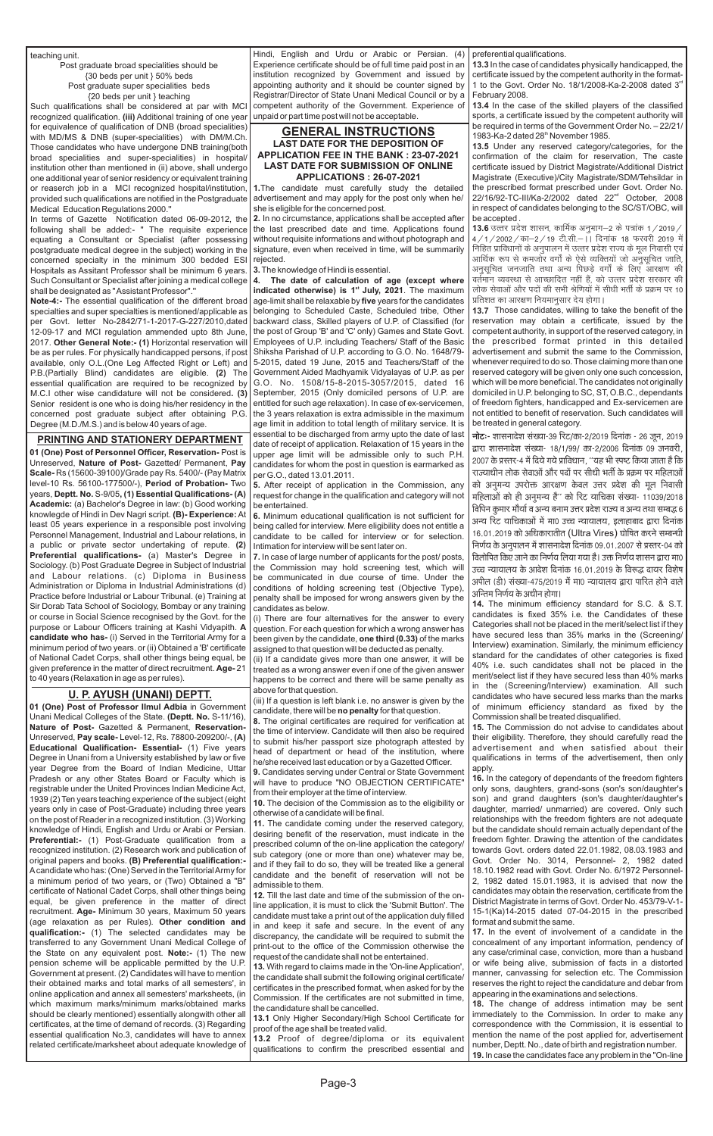Page-3

teaching unit.

Post graduate broad specialities should be {30 beds per unit } 50% beds Post graduate super specialities beds {20 beds per unit } teaching

Such qualifications shall be considered at par with MCI recognized qualification. **(iii)** Additional training of one year for equivalence of qualification of DNB (broad specialities) with MD/MS & DNB (super-specialities) with DM/M.Ch. Those candidates who have undergone DNB training(both broad specialities and super-specialities) in hospital/ institution other than mentioned in (ii) above, shall undergo one additional year of senior residency or equivalent training or reaserch job in a MCI recognized hospital/institution, provided such qualifications are notified in the Postgraduate Medical Education Regulations 2000.''

In terms of Gazette Notification dated 06-09-2012, the following shall be added:- '' The requisite experience equating a Consultant or Specialist (after possessing postgraduate medical degree in the subject) working in the concerned specialty in the minimum 300 bedded ESI Hospitals as Assitant Professor shall be minimum 6 years. Such Consultant or Specialist after joining a medical college shall be designated as " Assistant Professor".''

**Note-4:-** The essential qualification of the different broad specialties and super specialties is mentioned/applicable as per Govt. letter No-2842/71-1-2017-G-227/2010,dated 12-09-17 and MCI regulation ammended upto 8th June, 2017. **Other General Note:- (1)** Horizontal reservation will be as per rules. For physically handicapped persons, if post available, only O.L.(One Leg Affected Right or Left) and P.B.(Partially Blind) candidates are eligible. **(2)** The essential qualification are required to be recognized by M.C.I other wise candidature will not be considered**. (3)** Senior resident is one who is doing his/her residency in the concerned post graduate subject after obtaining P.G. Degree (M.D./M.S.) and is below 40 years of age.

## **PRINTING AND STATIONERY DEPARTMENT**

**01 (One) Post of Personnel Officer, Reservation-** Post is Unreserved, **Nature of Post-** Gazetted/ Permanent, **Pay Scale-** Rs (15600-39100)/Grade pay Rs. 5400/- (Pay Matrix level-10 Rs. 56100-177500/-), **Period of Probation-** Two years, **Deptt. No.** S-9/05**, (1) Essential Qualifications- (A) Academic:** (a) Bachelor's Degree in law: (b) Good working knowlegde of Hindi in Dev Nagri script. **(B)- Experience:** At least 05 years experience in a responsible post involving Personnel Management, Industrial and Labour relations, in a public or private sector undertaking of repute. **(2) Preferential qualifications-** (a) Master's Degree in Sociology. (b) Post Graduate Degree in Subject of Industrial and Labour relations. (c) Diploma in Business Administration or Diploma in Industrial Administrations (d) Practice before Industrial or Labour Tribunal. (e) Training at Sir Dorab Tata School of Sociology, Bombay or any training or course in Social Science recognised by the Govt. for the purpose or Labour Officers training at Kashi Vidyapith. **A candidate who has-** (i) Served in the Territorial Army for a minimum period of two years. or (ii) Obtained a 'B' certificate of National Cadet Corps, shall other things being equal, be given preference in the matter of direct recruitment. **Age-** 21 to 40 years (Relaxation in age as per rules).

**01 (One) Post of Professor IImul Adbia** in Government Unani Medical Colleges of the State. **(Deptt. No.** S-11/16), **Nature of Post-** Gazetted & Permanent, **Reservation-**Unreserved, **Pay scale-** Level-12, Rs. 78800-209200/-, **(A) Educational Qualification- Essential-** (1) Five years Degree in Unani from a University established by law or five year Degree from the Board of Indian Medicine, Uttar Pradesh or any other States Board or Faculty which is registrable under the United Provinces Indian Medicine Act, 1939 (2) Ten years teaching experience of the subject (eight years only in case of Post-Graduate) including three years on the post of Reader in a recognized institution. (3) Working knowledge of Hindi, English and Urdu or Arabi or Persian. **Preferential:-** (1) Post-Graduate qualification from a recognized institution. (2) Research work and publication of original papers and books. **(B) Preferential qualification:-** Acandidate who has: (One) Served in the Territorial Army for a minimum period of two years, or (Two) Obtained a "B" certificate of National Cadet Corps, shall other things being equal, be given preference in the matter of direct recruitment. **Age-** Minimum 30 years, Maximum 50 years (age relaxation as per Rules). **Other condition and qualification:-** (1) The selected candidates may be transferred to any Government Unani Medical College of the State on any equivalent post. **Note:-** (1) The new pension scheme will be applicable permitted by the U.P. Government at present. (2) Candidates will have to mention their obtained marks and total marks of all semesters', in online application and annex all semesters' marksheets, (in which maximum marks/minimum marks/obtained marks should be clearly mentioned) essentially alongwith other all certificates, at the time of demand of records. (3) Regarding essential qualification No.3, candidates will have to annex related certificate/marksheet about adequate knowledge of

**13.4** In the case of the skilled players of the classified sports, a certificate issued by the competent authority will be required in terms of the Government Order No. – 22/21/ 1983-Ka-2 dated 28<sup>th</sup> November 1985.

# **U. P. AYUSH (UNANI) DEPTT.**

Hindi, English and Urdu or Arabic or Persian. (4) Experience certificate should be of full time paid post in an institution recognized by Government and issued by appointing authority and it should be counter signed by Registrar/Director of State Unani Medical Council or by a competent authority of the Government. Experience of unpaid or part time post will not be acceptable.

### **GENERAL INSTRUCTIONS LAST DATE FOR THE DEPOSITION OF APPLICATION FEE IN THE BANK : 23-07-2021 LAST DATE FOR SUBMISSION OF ONLINE APPLICATIONS : 26-07-2021**

**1.**The candidate must carefully study the detailed advertisement and may apply for the post only when he/ she is eligible for the concerned post.

**2.** In no circumstance, applications shall be accepted after the last prescribed date and time. Applications found without requisite informations and without photograph and signature, even when received in time, will be summarily rejected.

**3.**The knowledge of Hindi is essential.

**4. The date of calculation of age (except where indicated otherwise) is 1<sup>st</sup> July, 2021**. The maximum age-limit shall be relaxable by **five** years for the candidates belonging to Scheduled Caste, Scheduled tribe, Other backward class, Skilled players of U.P. of Classified (for the post of Group 'B' and 'C' only) Games and State Govt. Employees of U.P. including Teachers/ Staff of the Basic Shiksha Parishad of U.P. according to G.O. No. 1648/79- 5-2015, dated 19 June, 2015 and Teachers/Staff of the Government Aided Madhyamik Vidyalayas of U.P. as per G.O. No. 1508/15-8-2015-3057/2015, dated 16 September, 2015 (Only domiciled persons of U.P. are entitled for such age relaxation). In case of ex-servicemen, the 3 years relaxation is extra admissible in the maximum age limit in addition to total length of military service. It is essential to be discharged from army upto the date of last date of receipt of application. Relaxation of 15 years in the upper age limit will be admissible only to such P.H. candidates for whom the post in question is earmarked as per G.O., dated 13.01.2011.

**5.** After receipt of application in the Commission, any request for change in the qualification and category will not be entertained.

**6.** Minimum educational qualification is not sufficient for being called for interview. Mere eligibility does not entitle a candidate to be called for interview or for selection. Intimation for interview will be sent later on.

**7.** In case of large number of applicants for the post/ posts, the Commission may hold screening test, which will be communicated in due course of time. Under the conditions of holding screening test (Objective Type), penalty shall be imposed for wrong answers given by the candidates as below.

(i) There are four alternatives for the answer to every question. For each question for which a wrong answer has been given by the candidate, **one third (0.33)** of the marks assigned to that question will be deducted as penalty.

(ii) If a candidate gives more than one answer, it will be treated as a wrong answer even if one of the given answer happens to be correct and there will be same penalty as above for that question.

(iii) If a question is left blank i.e. no answer is given by the candidate, there will be **no penalty** for that question.

**8.** The original certificates are required for verification at the time of interview. Candidate will then also be required to submit his/her passport size photograph attested by head of department or head of the institution, where he/she received last education or by a Gazetted Officer.

**9.** Candidates serving under Central or State Government will have to produce "NO OBJECTION CERTIFICATE" from their employer at the time of interview.

**10.** The decision of the Commission as to the eligibility or otherwise of a candidate will be final.

**11.** The candidate coming under the reserved category, desiring benefit of the reservation, must indicate in the prescribed column of the on-line application the category/ sub category (one or more than one) whatever may be, and if they fail to do so, they will be treated like a general candidate and the benefit of reservation will not be admissible to them. **12.** Till the last date and time of the submission of the online application, it is must to click the 'Submit Button'. The candidate must take a print out of the application duly filled in and keep it safe and secure. In the event of any discrepancy, the candidate will be required to submit the print-out to the office of the Commission otherwise the request of the candidate shall not be entertained. **13.** With regard to claims made in the 'On-line Application', the candidate shall submit the following original certificate/ certificates in the prescribed format, when asked for by the Commission. If the certificates are not submitted in time, the candidature shall be cancelled.

**13.1** Only Higher Secondary/High School Certificate for proof of the age shall be treated valid.

**13.2** Proof of degree/diploma or its equivalent qualifications to confirm the prescribed essential and

preferential qualifications.

**13.3** In the case of candidates physically handicapped, the certificate issued by the competent authority in the format-1 to the Govt. Order No. 18/1/2008-Ka-2-2008 dated  $3<sup>rd</sup>$ February 2008.

**13.5** Under any reserved category/categories, for the confirmation of the claim for reservation, The caste certificate issued by District Magistrate/Additional District Magistrate (Executive)/City Magistrate/SDM/Tehsildar in the prescribed format prescribed under Govt. Order No. 22/16/92-TC-III/Ka-2/2002 dated 22<sup>nd</sup> October, 2008 in respect of candidates belonging to the SC/ST/OBC, will be accepted .

**13.6** उत्तर प्रदेश शासन, कार्मिक अनुभाग–2 के पत्रांक 1 / 2019 / | 4/1/2002/का-2/19 टी.सी.- | दिनांक 18 फरवरी 2019 में <u>निहित प्राविधानों के अनपालन में उत्तर प्रदेश राज्य के मल निवासी एवं</u> आर्थिक रूप से कमजोर वर्गों के ऐसे व्यक्तियों जो अनुसूचित जाति, अनुसूचित जनजाति तथा अन्य पिछड़े वर्गों के लिए आरक्षण की वर्तमान व्यवस्था से आच्छादित नहीं हैं, को उत्तर प्रदेश सरकार की लोक सेवाओं और पदों की सभी श्रेणियों में सीधी भर्ती के प्रक्रम पर 10 प्रतिशत का आरक्षण नियमानुसार देय होगा।

**14.** The minimum efficiency standard for S.C. & S.T. candidates is fixed 35% i.e. the Candidates of these Categories shall not be placed in the merit/select list if they have secured less than 35% marks in the (Screening/ Interview) examination. Similarly, the minimum efficiency standard for the candidates of other categories is fixed 40% i.e. such candidates shall not be placed in the merit/select list if they have secured less than 40% marks in the (Screening/Interview) examination. All such candidates who have secured less marks than the marks of minimum efficiency standard as fixed by the Commission shall be treated disqualified.

**15.** The Commission do not advise to candidates about their eligibility. Therefore, they should carefully read the advertisement and when satisfied about their qualifications in terms of the advertisement, then only apply.

**13.7**  Those candidates, willing to take the benefit of the reservation may obtain a certificate, issued by the competent authority, in support of the reserved category, in the prescribed format printed in this detailed advertisement and submit the same to the Commission, whenever required to do so. Those claiming more than one reserved category will be given only one such concession, which will be more beneficial. The candidates not originally domiciled in U.P. belonging to SC, ST, O.B.C., dependants of freedom fighters, handicapped and Ex-servicemen are not entitled to benefit of reservation. Such candidates will be treated in general category.

**नोटः-** शासनादेश संख्या-39 रिट/का-2/2019 दिनांक - 26 जून, 2019 द्वारा शासनादेश संख्या- 18/1/99/ का-2/2006 दिनांक 09 जनवरी, 2007 के प्रस्तर-4 में दिये गये प्राविधान, ''यह भी स्पष्ट किया जाता है कि राज्याधीन लोक सेवाओं और पदों पर सीधी भर्ती के प्रक्रम पर महिलाओं को अनुमन्य उपरोक्त आरक्षण केवल उत्तर प्रदेश की मूल निवासी महिलाओं को ही अनुमन्य है'' को रिट याचिका संख्या- 11039/2018 विपिन कुमार मौर्या व अन्य बनाम उत्तर प्रदेश राज्य व अन्य तथा सम्बद्ध 6 अन्य रिट याचिकाओं में मा0 उच्च न्यायालय, इलाहाबाद द्वारा दिनांक 16.01.2019 को अधिकारातीत (Ultra Vires) घोषित करने सम्बन्धी निर्णय के अनुपालन में शासनादेश दिनांक 09.01.2007 से प्रस्तर-04 को विलोपित किए जाने का निर्णय लिया गया है। उक्त निर्णय शासन द्वारा मा0 उच्च न्यायालय के आदेश दिनांक 16.01.2019 के विरूद्ध दायर विशेष अपील (डी) संख्या-475/2019 में मा0 न्यायालय द्वारा पारित होने वाले अन्तिम निर्णय के अधीन होगा।

**16.** In the category of dependants of the freedom fighters only sons, daughters, grand-sons (son's son/daughter's son) and grand daughters (son's daughter/daughter's daughter, married/ unmarried) are covered. Only such relationships with the freedom fighters are not adequate but the candidate should remain actually dependant of the freedom fighter. Drawing the attention of the candidates towards Govt. orders dated 22.01.1982, 08.03.1983 and Govt. Order No. 3014, Personnel- 2, 1982 dated 18.10.1982 read with Govt. Order No. 6/1972 Personnel-2, 1982 dated 15.01.1983, it is advised that now the candidates may obtain the reservation, certificate from the District Magistrate in terms of Govt. Order No. 453/79-V-1- 15-1(Ka)14-2015 dated 07-04-2015 in the prescribed format and submit the same. **17.** In the event of involvement of a candidate in the concealment of any important information, pendency of any case/criminal case, conviction, more than a husband or wife being alive, submission of facts in a distorted manner, canvassing for selection etc. The Commission reserves the right to reject the candidature and debar from appearing in the examinations and selections. **18.** The change of address intimation may be sent immediately to the Commission. In order to make any correspondence with the Commission, it is essential to mention the name of the post applied for, advertisement number, Deptt. No., date of birth and registration number. **19.** In case the candidates face any problem in the "On-line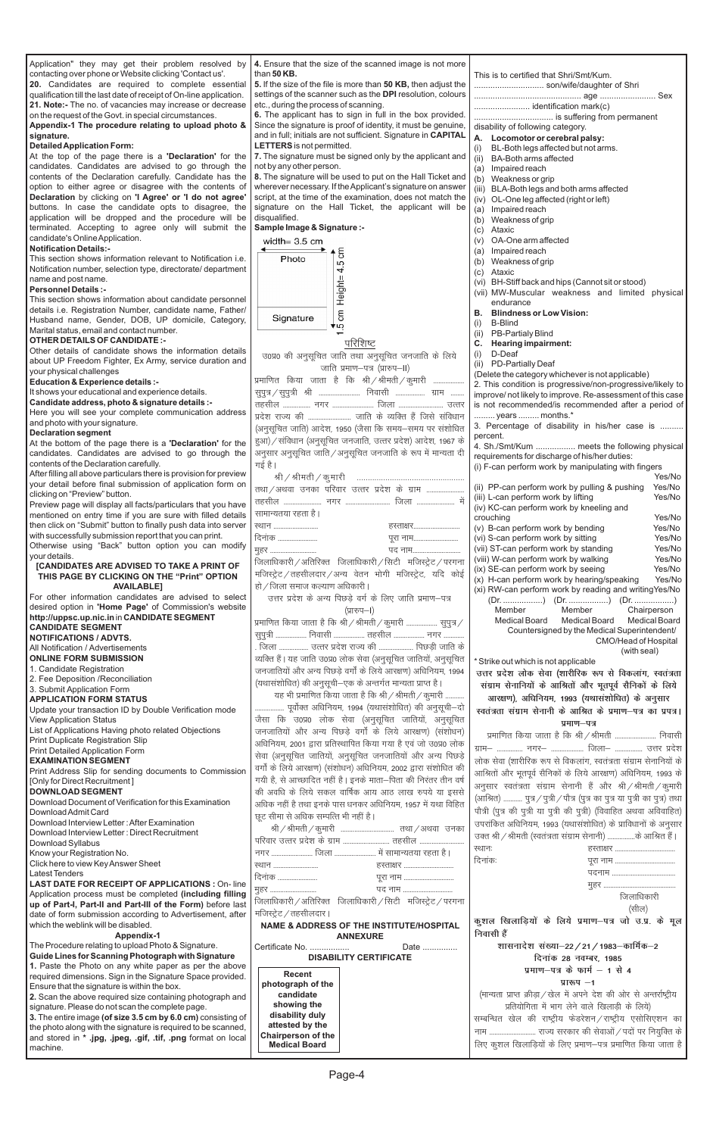

| Application" they may get their problem resolved by                                                             | 4. Ensure that the size of the scanned image is not more                              |                                                                                                                 |
|-----------------------------------------------------------------------------------------------------------------|---------------------------------------------------------------------------------------|-----------------------------------------------------------------------------------------------------------------|
| contacting over phone or Website clicking 'Contact us'.                                                         | than $50$ KB.                                                                         | This is to certified that Shri/Smt/Kum.                                                                         |
| 20. Candidates are required to complete essential                                                               | 5. If the size of the file is more than 50 KB, then adjust the                        |                                                                                                                 |
| qualification till the last date of receipt of On-line application.                                             | settings of the scanner such as the DPI resolution, colours                           |                                                                                                                 |
| 21. Note:- The no. of vacancies may increase or decrease                                                        | etc., during the process of scanning.                                                 |                                                                                                                 |
| on the request of the Govt. in special circumstances.                                                           | 6. The applicant has to sign in full in the box provided.                             |                                                                                                                 |
| Appendix-1 The procedure relating to upload photo &                                                             | Since the signature is proof of identity, it must be genuine,                         | disability of following category.                                                                               |
| signature.                                                                                                      | and in full; initials are not sufficient. Signature in CAPITAL                        | A. Locomotor or cerebral palsy:                                                                                 |
| <b>Detailed Application Form:</b>                                                                               | LETTERS is not permitted.                                                             | (i)<br>BL-Both legs affected but not arms.                                                                      |
| At the top of the page there is a 'Declaration' for the<br>candidates. Candidates are advised to go through the | 7. The signature must be signed only by the applicant and<br>not by any other person. | <b>BA-Both arms affected</b><br>(ii)                                                                            |
| contents of the Declaration carefully. Candidate has the                                                        | 8. The signature will be used to put on the Hall Ticket and                           | (a) Impaired reach                                                                                              |
| option to either agree or disagree with the contents of                                                         | wherever necessary. If the Applicant's signature on answer                            | (b) Weakness or grip                                                                                            |
| Declaration by clicking on 'I Agree' or 'I do not agree'                                                        | script, at the time of the examination, does not match the                            | (iii) BLA-Both legs and both arms affected<br>(iv) OL-One leg affected (right or left)                          |
| buttons. In case the candidate opts to disagree, the                                                            | signature on the Hall Ticket, the applicant will be                                   | (a) Impaired reach                                                                                              |
| application will be dropped and the procedure will be                                                           | disqualified.                                                                         | Weakness of grip<br>(b)                                                                                         |
| terminated. Accepting to agree only will submit the                                                             | Sample Image & Signature :-                                                           | Ataxic<br>(c)                                                                                                   |
| candidate's Online Application.                                                                                 | width= $3.5 \text{ cm}$                                                               | OA-One arm affected<br>(v)                                                                                      |
| <b>Notification Details:-</b>                                                                                   | ←                                                                                     | Impaired reach<br>(a)                                                                                           |
| This section shows information relevant to Notification i.e.                                                    | ξ<br>Photo<br>5                                                                       | Weakness of grip<br>(b)                                                                                         |
| Notification number, selection type, directorate/department                                                     | 4                                                                                     | Ataxic<br>(c)                                                                                                   |
| name and post name.                                                                                             |                                                                                       | (vi) BH-Stiff back and hips (Cannot sit or stood)                                                               |
| <b>Personnel Details:-</b>                                                                                      |                                                                                       | (vii) MW-Muscular weakness and limited physical                                                                 |
| This section shows information about candidate personnel                                                        | Height=                                                                               | endurance                                                                                                       |
| details i.e. Registration Number, candidate name, Father/                                                       | ξ<br>Signature                                                                        | <b>Blindness or Low Vision:</b><br>В.                                                                           |
| Husband name, Gender, DOB, UP domicile, Category,                                                               | ∢ن                                                                                    | (i)<br><b>B-Blind</b>                                                                                           |
| Marital status, email and contact number.                                                                       |                                                                                       | <b>PB-Partialy Blind</b><br>(ii)                                                                                |
| <b>OTHER DETAILS OF CANDIDATE:-</b>                                                                             | परिशिष्ट                                                                              | <b>Hearing impairment:</b><br>С.                                                                                |
| Other details of candidate shows the information details                                                        | उ0प्र0 की अनुसूचित जाति तथा अनुसूचित जनजाति के लिये                                   | (i)<br>D-Deaf                                                                                                   |
| about UP Freedom Fighter, Ex Army, service duration and<br>your physical challenges                             | जाति प्रमाण-पत्र (प्रारुप-II)                                                         | <b>PD-Partially Deaf</b><br>(ii)                                                                                |
| Education & Experience details :-                                                                               | प्रमाणित किया जाता है कि श्री / श्रीमती / कुमारी                                      | (Delete the category whichever is not applicable)                                                               |
| It shows your educational and experience details.                                                               | सुपुत्र/सुपुत्री श्री  निवासी  ग्राम                                                  | 2. This condition is progressive/non-progressive/likely to                                                      |
| Candidate address, photo & signature details :-                                                                 |                                                                                       | improve/ not likely to improve. Re-assessment of this case                                                      |
| Here you will see your complete communication address                                                           |                                                                                       | is not recommended/is recommended after a period of<br>years  months.*                                          |
| and photo with your signature.                                                                                  | प्रदेश राज्य की  जाति के व्यक्ति हैं जिसे संविधान                                     |                                                                                                                 |
| <b>Declaration segment</b>                                                                                      | (अनुसूचित जाति) आदेश, 1950 (जैसा कि समय-समय पर संशोधित                                | 3. Percentage of disability in his/her case is                                                                  |
| At the bottom of the page there is a 'Declaration' for the                                                      | हुआ) / संविधान (अनुसूचित जनजाति, उत्तर प्रदेश) आदेश, 1967 के                          | percent.<br>4. Sh./Smt/Kum  meets the following physical                                                        |
| candidates. Candidates are advised to go through the                                                            | अनुसार अनुसूचित जाति / अनुसूचित जनजाति के रूप में मान्यता दी                          | requirements for discharge of his/her duties:                                                                   |
| contents of the Declaration carefully.                                                                          | गई है।                                                                                | (i) F-can perform work by manipulating with fingers                                                             |
| After filling all above particulars there is provision for preview                                              |                                                                                       | Yes/No                                                                                                          |
| your detail before final submission of application form on                                                      | तथा/अथवा उनका परिवार उत्तर प्रदेश के ग्राम                                            | Yes/No<br>(ii) PP-can perform work by pulling & pushing                                                         |
| clicking on "Preview" button.                                                                                   |                                                                                       | Yes/No<br>(iii) L-can perform work by lifting                                                                   |
| Preview page will display all facts/particulars that you have                                                   |                                                                                       | (iv) KC-can perform work by kneeling and                                                                        |
| mentioned on entry time if you are sure with filled details                                                     | सामान्यतया रहता है।                                                                   | crouching<br>Yes/No                                                                                             |
| then click on "Submit" button to finally push data into server                                                  | ख्यान<br>हस्ताक्षर                                                                    | (v) B-can perform work by bending<br>Yes/No                                                                     |
| with successfully submission report that you can print.<br>Otherwise using "Back" button option you can modify  | दिनांक<br>पूरा नाम                                                                    | Yes/No<br>(vi) S-can perform work by sitting                                                                    |
| your details.                                                                                                   | पद नाम<br>मुहर                                                                        | Yes/No<br>(vii) ST-can perform work by standing                                                                 |
|                                                                                                                 |                                                                                       |                                                                                                                 |
|                                                                                                                 | जिलाधिकारी / अतिरिक्त जिलाधिकारी / सिटी मजिस्ट्रेट / परगना                            | (viii) W-can perform work by walking<br>Yes/No                                                                  |
| [CANDIDATES ARE ADVISED TO TAKE A PRINT OF                                                                      |                                                                                       | (ix) SE-can perform work by seeing<br>Yes/No                                                                    |
| THIS PAGE BY CLICKING ON THE "Print" OPTION<br><b>AVAILABLEI</b>                                                | मजिस्ट्रेट / तहसीलदार / अन्य वेतन भोगी मजिस्ट्रेट, यदि कोई                            | (x) H-can perform work by hearing/speaking<br>Yes/No                                                            |
| For other information candidates are advised to select                                                          | हो / जिला समाज कल्याण अधिकारी                                                         | (xi) RW-can perform work by reading and writingYes/No                                                           |
| desired option in 'Home Page' of Commission's website                                                           | उत्तर प्रदेश के अन्य पिछड़े वर्ग के लिए जाति प्रमाण-पत्र                              |                                                                                                                 |
| http://uppsc.up.nic.in in CANDIDATE SEGMENT                                                                     | (प्रारुप–1)                                                                           | Member<br>Member<br>Chairperson<br>Medical Board<br><b>Medical Board</b>                                        |
| <b>CANDIDATE SEGMENT</b>                                                                                        | प्रमाणित किया जाता है कि श्री / श्रीमती / कुमारी  सुपुत्र /                           | Medical Board<br>Countersigned by the Medical Superintendent/                                                   |
| <b>NOTIFICATIONS / ADVTS.</b>                                                                                   | सुपुत्री  निवासी  तहसील  नगर                                                          | CMO/Head of Hospital                                                                                            |
| All Notification / Advertisements                                                                               | . जिला  उत्तर प्रदेश राज्य की  पिछड़ी जाति के                                         | (with seal)                                                                                                     |
| <b>ONLINE FORM SUBMISSION</b>                                                                                   | व्यक्ति हैं। यह जाति उ0प्र0 लोक सेवा (अनुसूचित जातियों, अनुसूचित                      | * Strike out which is not applicable                                                                            |
| 1. Candidate Registration                                                                                       | जनजातियों और अन्य पिछड़े वर्गों के लिये आरक्षण) अधिनियम, 1994                         | उत्तर प्रदेश लोक सेवा (शारीरिक रूप से विकलांग, स्वतंत्रता                                                       |
| 2. Fee Deposition / Reconciliation                                                                              | (यथासंशोधित) की अनुसूची–एक के अन्तर्गत मान्यता प्राप्त है।                            | संग्राम सेनानियों के आश्रितों और भूतपूर्व सैनिकों के लिये                                                       |
| 3. Submit Application Form                                                                                      | यह भी प्रमाणित किया जाता है कि श्री / श्रीमती / कुमारी                                |                                                                                                                 |
| <b>APPLICATION FORM STATUS</b><br>Update your transaction ID by Double Verification mode                        | पूर्वोक्त अधिनियम, 1994 (यथासंशोधित) की अनुसूची—दो                                    | आरक्षण), अधिनियम, 1993 (यथासंशोधित) के अनुसार<br>स्वतंत्रता संग्राम सेनानी के आश्रित के प्रमाण–पत्र का प्रपत्र। |
| <b>View Application Status</b>                                                                                  | जैसा कि उ0प्र0 लोक सेवा (अनुसूचित जातियों, अनुसूचित                                   |                                                                                                                 |
| List of Applications Having photo related Objections                                                            | जनजातियों और अन्य पिछड़े वर्गों के लिये आरक्षण) (संशोधन)                              | प्रमाण–पत्र                                                                                                     |
| Print Duplicate Registration Slip                                                                               | अधिनियम, 2001 द्वारा प्रतिस्थापित किया गया है एवं जो उ0प्र0 लोक                       | प्रमाणित किया जाता है कि श्री / श्रीमती  निवासी                                                                 |
| Print Detailed Application Form                                                                                 | सेवा (अनुसूचित जातियों, अनुसूचित जनजातियों और अन्य पिछड़े                             | ग्राम-  नगर-  जिला-  उत्तर प्रदेश                                                                               |
| <b>EXAMINATION SEGMENT</b>                                                                                      |                                                                                       | लोक सेवा (शारीरिक रूप से विकलांग, स्वतंत्रता संग्राम सेनानियों के                                               |
| Print Address Slip for sending documents to Commission                                                          | वर्गों के लिये आरक्षण) (संशोधन) अधिनियम, 2002 द्वारा संशोधित की                       | आश्रितों और भूतपूर्व सैनिकों के लिये आरक्षण) अधिनियम, 1993 के                                                   |
| [Only for Direct Recruitment]                                                                                   | गयी है, से आच्छादित नहीं है। इनके माता—पिता की निरंतर तीन वर्ष                        | अनुसार स्वतंत्रता संग्राम सेनानी हैं और श्री/श्रीमती/कुमारी                                                     |
| <b>DOWNLOAD SEGMENT</b>                                                                                         | की अवधि के लिये सकल वार्षिक आय आठ लाख रुपये या इससे                                   | (आश्रित)  पुत्र / पुत्री / पौत्र (पुत्र का पुत्र या पुत्री का पुत्र) तथा                                        |
| Download Document of Verification for this Examination                                                          | अधिक नहीं है तथा इनके पास धनकर अधिनियम, 1957 में यथा विहित                            |                                                                                                                 |
| Download Admit Card                                                                                             | छूट सीमा से अधिक सम्पत्ति भी नहीं है।                                                 | पौत्री (पुत्र की पुत्री या पुत्री की पुत्री) (विवाहित अथवा अविवाहित)                                            |
| Download Interview Letter: After Examination<br>Download Interview Letter: Direct Recruitment                   |                                                                                       | उपरांकित अधिनियम, 1993 (यथासंशोधित) के प्राविधानों के अनुसार                                                    |
| Download Syllabus                                                                                               | परिवार उत्तर प्रदेश के ग्राम  तहसील                                                   | उक्त श्री / श्रीमती (स्वतंत्रता संग्राम सेनानी) के आश्रित हैं।                                                  |
| Know your Registration No.                                                                                      | नगर  जिला  में सामान्यतया रहता है।                                                    | स्थानः<br>हस्ताक्षर                                                                                             |
| Click here to view Key Answer Sheet                                                                             | ख्यान<br>हस्ताक्षर                                                                    | दिनांकः                                                                                                         |
| <b>Latest Tenders</b>                                                                                           | दिनांक<br>पूरा नाम                                                                    |                                                                                                                 |
| <b>LAST DATE FOR RECEIPT OF APPLICATIONS: On-line</b>                                                           | पद नाम                                                                                |                                                                                                                 |
| Application process must be completed (including filling                                                        | मुहर                                                                                  | जिलाधिकारी                                                                                                      |
| up of Part-I, Part-II and Part-III of the Form) before last                                                     | जिलाधिकारी / अतिरिक्त जिलाधिकारी / सिटी मजिस्ट्रेट / परगना                            | (सील)                                                                                                           |
| date of form submission according to Advertisement, after                                                       | मजिस्ट्रेट / तहसीलदार ।                                                               | कुशल खिलाड़ियों के लिये प्रमाण-पत्र जो उ.प्र. के मूल                                                            |
| which the weblink will be disabled.                                                                             | NAME & ADDRESS OF THE INSTITUTE/HOSPITAL                                              | निवासी हैं                                                                                                      |
| <b>Appendix-1</b>                                                                                               | <b>ANNEXURE</b>                                                                       |                                                                                                                 |
| The Procedure relating to upload Photo & Signature.<br>Guide Lines for Scanning Photograph with Signature       | Certificate No.<br>Date                                                               | शासनादेश संख्या–22 / 21 / 1983–कार्मिक–2                                                                        |
| 1. Paste the Photo on any white paper as per the above                                                          | <b>DISABILITY CERTIFICATE</b>                                                         | दिनांक 28 नवम्बर, 1985                                                                                          |
| required dimensions. Sign in the Signature Space provided.                                                      | <b>Recent</b>                                                                         | प्रमाण-पत्र के फार्म $-1$ से 4                                                                                  |
| Ensure that the signature is within the box.                                                                    | photograph of the                                                                     | प्रारूप $-1$                                                                                                    |
| 2. Scan the above required size containing photograph and                                                       | candidate                                                                             | (मान्यता प्राप्त क्रीड़ा / खेल में अपने देश की ओर से अन्तर्राष्ट्रीय                                            |
| signature. Please do not scan the complete page.                                                                | showing the                                                                           | प्रतियोगिता में भाग लेने वाले खिलाड़ी के लिये)                                                                  |
| 3. The entire image (of size 3.5 cm by 6.0 cm) consisting of                                                    | disability duly                                                                       | सम्बन्धित खेल की राष्ट्रीय फेडरेशन/राष्ट्रीय एसोसिएशन का                                                        |
| the photo along with the signature is required to be scanned,                                                   | attested by the                                                                       |                                                                                                                 |
| and stored in * .jpg, .jpeg, .gif, .tif, .png format on local<br>machine.                                       | Chairperson of the<br><b>Medical Board</b>                                            | लिए कुशल खिलाड़ियों के लिए प्रमाण–पत्र प्रमाणित किया जाता है                                                    |